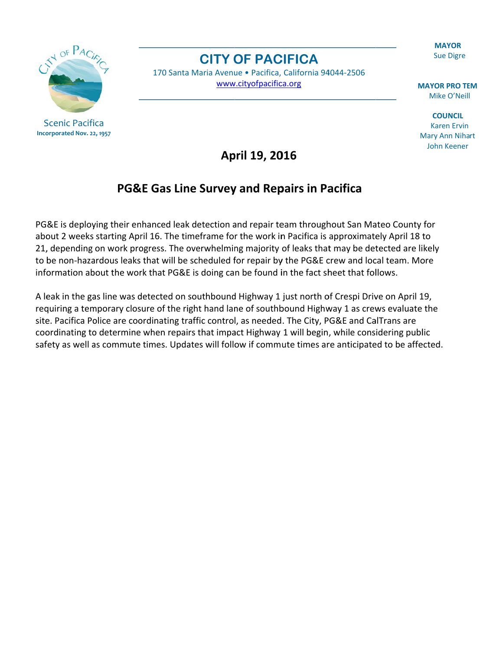**MAYOR** Sue Digre

**MAYOR PRO TEM** Mike O'Neill

M Mary Ann Niha rt **COUNCIL** Karen Ervin John Keener

N OF PACK

**CITY O OF PAC CIFICA** 

170 Santa Maria Avenue • Pacifica, California 94044-2506 www.cityofpacifica.org

**Ap pril 19, 20 016** 

# **PG&E Gas Line Survey and Repairs in Pacifica**

PG&E is deploying their enhanced leak detection and repair team throughout San Mateo County for about 2 weeks starting April 16. The timeframe for the work in Pacifica is approximately April 18 to 21, depending on work progress. The overwhelming majority of leaks that may be detected are likely to be non-hazardous leaks that will be scheduled for repair by the PG&E crew and local team. More information about the work that PG&E is doing can be found in the fact sheet that follows.

A leak in the gas line was detected on southbound Highway 1 just north of Crespi Drive on April 19, requiring a temporary closure of the right hand lane of southbound Highway 1 as crews evaluate the site. Pacifica Police are coordinating traffic control, as needed. The City, PG&E and CalTrans are coordinating to determine when repairs that impact Highway 1 will begin, while considering public safety as well as commute times. Updates will follow if commute times are anticipated to be affected.



Incorporated Nov. 22, 1957